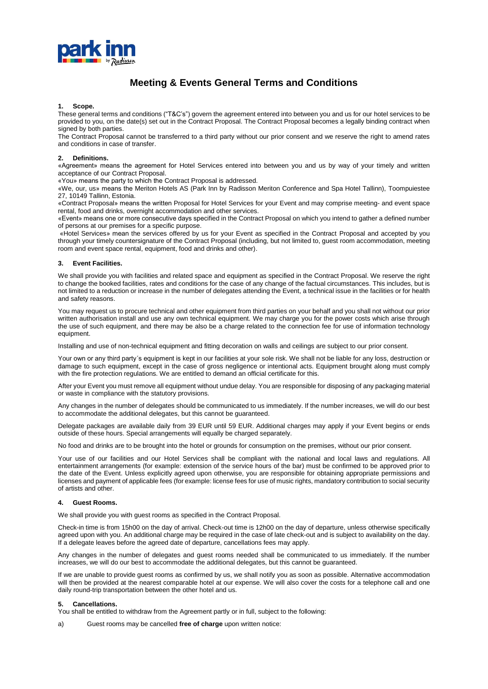

# **Meeting & Events General Terms and Conditions**

#### **1. Scope.**

These general terms and conditions ("T&C's") govern the agreement entered into between you and us for our hotel services to be provided to you, on the date(s) set out in the Contract Proposal. The Contract Proposal becomes a legally binding contract when signed by both parties.

The Contract Proposal cannot be transferred to a third party without our prior consent and we reserve the right to amend rates and conditions in case of transfer.

#### **2. Definitions.**

«Agreement» means the agreement for Hotel Services entered into between you and us by way of your timely and written acceptance of our Contract Proposal.

«You» means the party to which the Contract Proposal is addressed.

«We, our, us» means the Meriton Hotels AS (Park Inn by Radisson Meriton Conference and Spa Hotel Tallinn), Toompuiestee 27, 10149 Tallinn, Estonia.

«Contract Proposal» means the written Proposal for Hotel Services for your Event and may comprise meeting- and event space rental, food and drinks, overnight accommodation and other services.

«Event» means one or more consecutive days specified in the Contract Proposal on which you intend to gather a defined number of persons at our premises for a specific purpose.

«Hotel Services» mean the services offered by us for your Event as specified in the Contract Proposal and accepted by you through your timely countersignature of the Contract Proposal (including, but not limited to, guest room accommodation, meeting room and event space rental, equipment, food and drinks and other).

#### **3. Event Facilities.**

We shall provide you with facilities and related space and equipment as specified in the Contract Proposal. We reserve the right to change the booked facilities, rates and conditions for the case of any change of the factual circumstances. This includes, but is not limited to a reduction or increase in the number of delegates attending the Event, a technical issue in the facilities or for health and safety reasons.

You may request us to procure technical and other equipment from third parties on your behalf and you shall not without our prior written authorisation install and use any own technical equipment. We may charge you for the power costs which arise through the use of such equipment, and there may be also be a charge related to the connection fee for use of information technology equipment.

Installing and use of non-technical equipment and fitting decoration on walls and ceilings are subject to our prior consent.

Your own or any third party´s equipment is kept in our facilities at your sole risk. We shall not be liable for any loss, destruction or damage to such equipment, except in the case of gross negligence or intentional acts. Equipment brought along must comply with the fire protection regulations. We are entitled to demand an official certificate for this.

After your Event you must remove all equipment without undue delay. You are responsible for disposing of any packaging material or waste in compliance with the statutory provisions.

Any changes in the number of delegates should be communicated to us immediately. If the number increases, we will do our best to accommodate the additional delegates, but this cannot be guaranteed.

Delegate packages are available daily from 39 EUR until 59 EUR. Additional charges may apply if your Event begins or ends outside of these hours. Special arrangements will equally be charged separately.

No food and drinks are to be brought into the hotel or grounds for consumption on the premises, without our prior consent.

Your use of our facilities and our Hotel Services shall be compliant with the national and local laws and regulations. All entertainment arrangements (for example: extension of the service hours of the bar) must be confirmed to be approved prior to the date of the Event. Unless explicitly agreed upon otherwise, you are responsible for obtaining appropriate permissions and licenses and payment of applicable fees (for example: license fees for use of music rights, mandatory contribution to social security of artists and other.

#### **4. Guest Rooms.**

We shall provide you with quest rooms as specified in the Contract Proposal.

Check-in time is from 15h00 on the day of arrival. Check-out time is 12h00 on the day of departure, unless otherwise specifically agreed upon with you. An additional charge may be required in the case of late check-out and is subject to availability on the day. If a delegate leaves before the agreed date of departure, cancellations fees may apply.

Any changes in the number of delegates and guest rooms needed shall be communicated to us immediately. If the number increases, we will do our best to accommodate the additional delegates, but this cannot be guaranteed.

If we are unable to provide guest rooms as confirmed by us, we shall notify you as soon as possible. Alternative accommodation will then be provided at the nearest comparable hotel at our expense. We will also cover the costs for a telephone call and one daily round-trip transportation between the other hotel and us.

### **5. Cancellations.**

You shall be entitled to withdraw from the Agreement partly or in full, subject to the following:

a) Guest rooms may be cancelled **free of charge** upon written notice: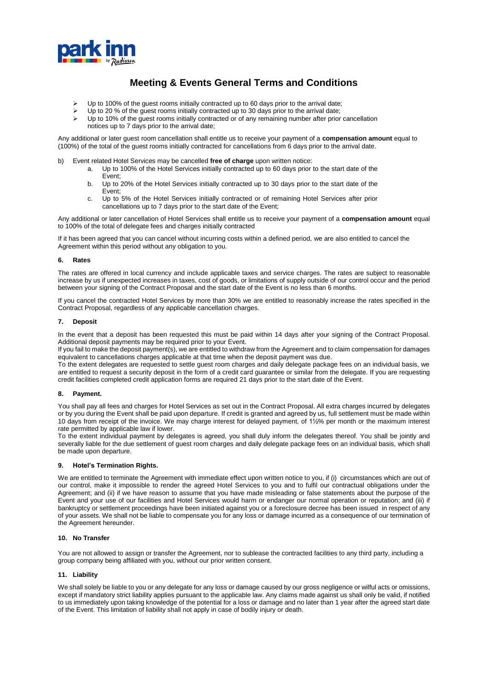

## **Meeting & Events General Terms and Conditions**

- $\triangleright$  Up to 100% of the guest rooms initially contracted up to 60 days prior to the arrival date;
- Up to 20 % of the guest rooms initially contracted up to 30 days prior to the arrival date;
- $\triangleright$  Up to 10% of the guest rooms initially contracted or of any remaining number after prior cancellation
- notices up to 7 days prior to the arrival date;

Any additional or later guest room cancellation shall entitle us to receive your payment of a **compensation amount** equal to (100%) of the total of the guest rooms initially contracted for cancellations from 6 days prior to the arrival date.

- b) Event related Hotel Services may be cancelled **free of charge** upon written notice:
	- a. Up to 100% of the Hotel Services initially contracted up to 60 days prior to the start date of the Event;
	- b. Up to 20% of the Hotel Services initially contracted up to 30 days prior to the start date of the Event;
	- c. Up to 5% of the Hotel Services initially contracted or of remaining Hotel Services after prior cancellations up to 7 days prior to the start date of the Event;

Any additional or later cancellation of Hotel Services shall entitle us to receive your payment of a **compensation amount** equal to 100% of the total of delegate fees and charges initially contracted

If it has been agreed that you can cancel without incurring costs within a defined period, we are also entitled to cancel the Agreement within this period without any obligation to you.

### **6. Rates**

The rates are offered in local currency and include applicable taxes and service charges. The rates are subject to reasonable increase by us if unexpected increases in taxes, cost of goods, or limitations of supply outside of our control occur and the period between your signing of the Contract Proposal and the start date of the Event is no less than 6 months.

If you cancel the contracted Hotel Services by more than 30% we are entitled to reasonably increase the rates specified in the Contract Proposal, regardless of any applicable cancellation charges.

### **7. Deposit**

In the event that a deposit has been requested this must be paid within 14 days after your signing of the Contract Proposal. Additional deposit payments may be required prior to your Event.

If you fail to make the deposit payment(s), we are entitled to withdraw from the Agreement and to claim compensation for damages equivalent to cancellations charges applicable at that time when the deposit payment was due.

To the extent delegates are requested to settle guest room charges and daily delegate package fees on an individual basis, we are entitled to request a security deposit in the form of a credit card guarantee or similar from the delegate. If you are requesting credit facilities completed credit application forms are required 21 days prior to the start date of the Event.

### **8. Payment.**

You shall pay all fees and charges for Hotel Services as set out in the Contract Proposal. All extra charges incurred by delegates or by you during the Event shall be paid upon departure. If credit is granted and agreed by us, full settlement must be made within 10 days from receipt of the invoice. We may charge interest for delayed payment, of 1½% per month or the maximum interest rate permitted by applicable law if lower.

To the extent individual payment by delegates is agreed, you shall duly inform the delegates thereof. You shall be jointly and severally liable for the due settlement of guest room charges and daily delegate package fees on an individual basis, which shall be made upon departure.

### **9. Hotel's Termination Rights.**

We are entitled to terminate the Agreement with immediate effect upon written notice to you, if (i) circumstances which are out of our control, make it impossible to render the agreed Hotel Services to you and to fulfil our contractual obligations under the Agreement; and (ii) if we have reason to assume that you have made misleading or false statements about the purpose of the Event and your use of our facilities and Hotel Services would harm or endanger our normal operation or reputation; and (iii) if bankruptcy or settlement proceedings have been initiated against you or a foreclosure decree has been issued in respect of any of your assets. We shall not be liable to compensate you for any loss or damage incurred as a consequence of our termination of the Agreement hereunder.

## **10. No Transfer**

You are not allowed to assign or transfer the Agreement, nor to sublease the contracted facilities to any third party, including a group company being affiliated with you, without our prior written consent.

### **11. Liability**

We shall solely be liable to you or any delegate for any loss or damage caused by our gross negligence or wilful acts or omissions, except if mandatory strict liability applies pursuant to the applicable law. Any claims made against us shall only be valid, if notified to us immediately upon taking knowledge of the potential for a loss or damage and no later than 1 year after the agreed start date of the Event. This limitation of liability shall not apply in case of bodily injury or death.